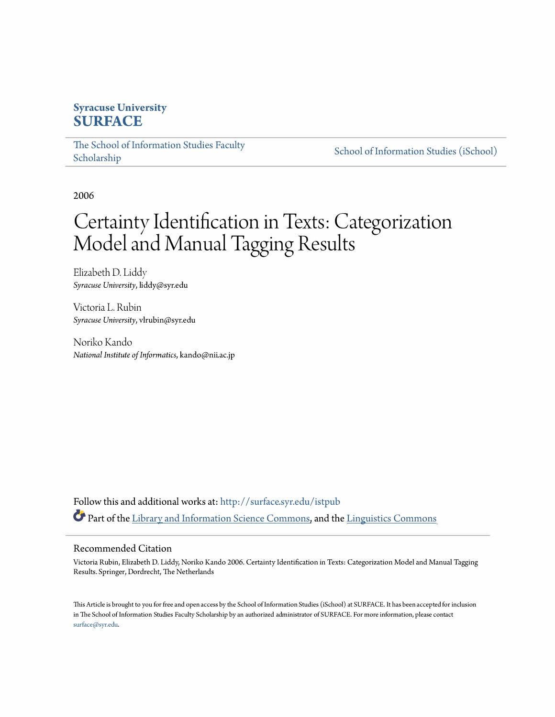# **Syracuse University [SURFACE](http://surface.syr.edu?utm_source=surface.syr.edu%2Fistpub%2F45&utm_medium=PDF&utm_campaign=PDFCoverPages)**

The School of Information Studies Faculty [School of Information Studies \(iSchool\)](http://surface.syr.edu/ischool?utm_source=surface.syr.edu%2Fistpub%2F45&utm_medium=PDF&utm_campaign=PDFCoverPages) School of Information Studies (iSchool)

2006

# **Certainty Identification in Texts: Categorization Model and Manual Tagging Results**

Elizabeth D. Liddy *Syracuse University,* liddy@lsyr.edu

Victoria L. Rubin *Syracuse University,* vlrubin@lsyr.edu

Noriko Kanda *National Institute of Informatics,* kando@lnii.ac.jp

Follow this and additional works at: [http://surface.syr.edu/istpub](http://surface.syr.edu/istpub?utm_source=surface.syr.edu%2Fistpub%2F45&utm_medium=PDF&utm_campaign=PDFCoverPages)  *{J* Part of the [Library and Information Science Commons](http://network.bepress.com/hgg/discipline/1018?utm_source=surface.syr.edu%2Fistpub%2F45&utm_medium=PDF&utm_campaign=PDFCoverPages), and the [Linguistics Commons](http://network.bepress.com/hgg/discipline/371?utm_source=surface.syr.edu%2Fistpub%2F45&utm_medium=PDF&utm_campaign=PDFCoverPages)

# Recommended Citation

Victoria Rubin, Elizabeth D. Liddy, Noriko Kando 2006. Certainty Identification in Texts: Categorization Model and Manual Tagging Results. Springer, Dordrecht, The Netherlands

This Article is brought to you for free and open access by the School of Information Studies (iSchool) at SURFACE. It has been accepted for inclusion in The School of Information Studies Faculty Scholarship by an authorized administrator of SURFACE. For more information, please contact [surface@syr.edu](mailto:surface@syr.edu).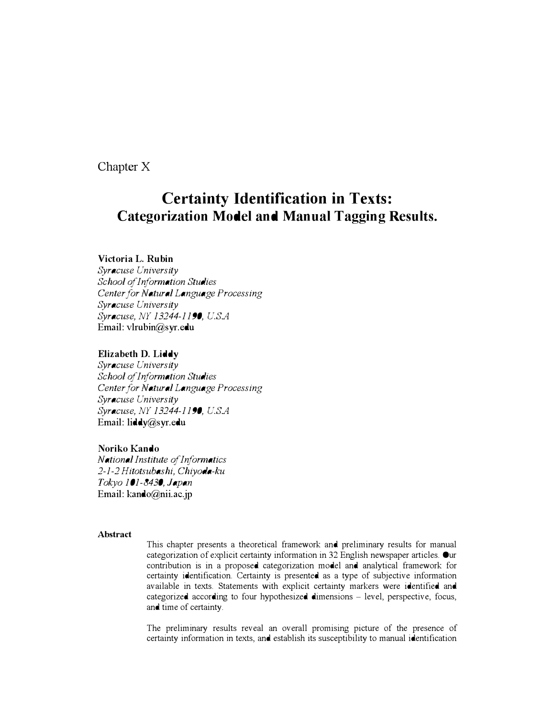Chapter X

# **Certainty Identification in Texts: Categorization Model and Manual Tagging Results.**

# **Victoria L. Rubin**

*Syracuse University School of Information Studies Center for Natural Language Processing Syracuse University Syracuse, NY 13244-1190, USA*  **Email: vlrubin@syr.edu** 

#### **Elizabeth D. Liddy**

*Syracuse University School of Information Studies Center for Natural Language Processing Syracuse University Syracuse, NY 13244-1190, USA*  **Email: liddy@syr.edu** 

#### **Noriko Kando**

*National Institute of Informatics 2-1-2 Hitotsubashi, Chiyoda-ku Tokyo 101-8430, Japan*  **Email: kando@nii.ac.jp** 

#### **Abstract**

This chapter presents a theoretical framework and preliminary results for manual categorization of explicit certainty information in 32 English newspaper articles. Our contribution is in a proposed categorization model and analytical framework for certainty identification. Certainty is presented as a type of subjective information available in texts. Statements with explicit certainty markers were identified and categorized according to four hypothesized dimensions - level, perspective, focus, and time of certainty.

The preliminary results reveal an overall promising picture of the presence of certainty information in texts, and establish its susceptibility to manual identification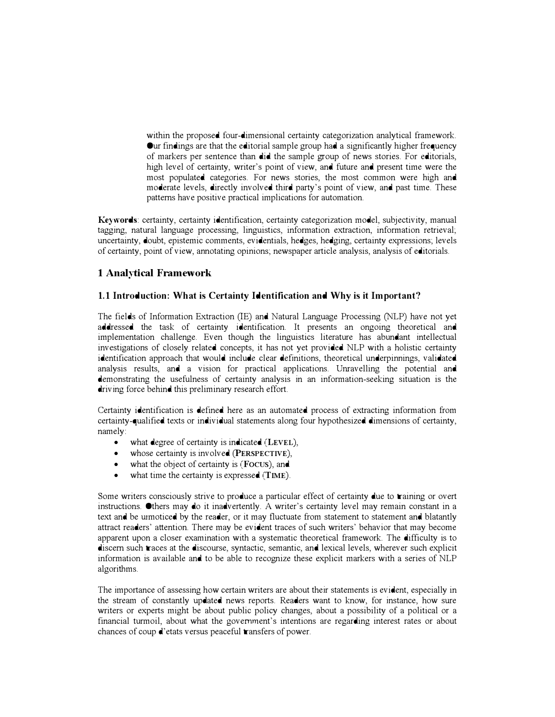within the proposed four-dimensional certainty categorization analytical framework. Our findings are that the editorial sample group had a significantly higher frequency of markers per sentence than did the sample group of news stories. For editorials, high level of certainty, writer's point of view, and future and present time were the most populated categories. For news stories, the most common were high and moderate levels, directly involved third party's point of view, and past time. These patterns have positive practical implications for automation.

**Keywords:** certainty, certainty identification, certainty categorization model, subjectivity, manual tagging, natural language processing, linguistics, information extraction, information retrieval; uncertainty, doubt, epistemic comments, evidentials, hedges, hedging, certainty expressions; levels of certainty, point of view, annotating opinions; newspaper article analysis, analysis of editorials.

# **1 Analytical Framework**

# **1.1 Introduction: What is Certainty Identification and Why is it Important?**

The fields of Information Extraction (IE) and Natural Language Processing (NLP) have not yet addressed the task of certainty identification. It presents an ongoing theoretical and implementation challenge. Even though the linguistics literature has abundant intellectual investigations of closely related concepts, it has not yet provided NLP with a holistic certainty identification approach that would include clear definitions, theoretical underpinnings, validated analysis results, and a vision for practical applications. Umavelling the potential and demonstrating the usefulness of certainty analysis in an information-seeking situation is the driving force behind this preliminary research effort.

Certainty identification is defined here as an automated process of extracting information from certainty-qualified texts or individual statements along four hypothesized dimensions of certainty, namely:

- what degree of certainty is indicated **(LEVEL),**
- whose certainty is involved **(PERSPECTIVE),**
- what the object of certainty is **(Focus),** and
- what time the certainty is expressed (TIME).

Some writers consciously strive to produce a particular effect of certainty due to training or overt instructions. Others may do it inadvertently. A writer's certainty level may remain constant in a text and be urmoticed by the reader, or it may fluctuate from statement to statement and blatantly attract readers' attention. There may be evident traces of such writers' behavior that may become apparent upon a closer examination with a systematic theoretical framework. The difficulty is to discern such traces at the discourse, syntactic, semantic, and lexical levels, wherever such explicit information is available and to be able to recognize these explicit markers with a series of NLP algorithms.

The importance of assessing how certain writers are about their statements is evident, especially in the stream of constantly updated news reports. Readers want to know, for instance, how sure writers or experts might be about public policy changes, about a possibility of a political or a financial turmoil, about what the government's intentions are regarding interest rates or about chances of coup d'etats versus peaceful transfers of power.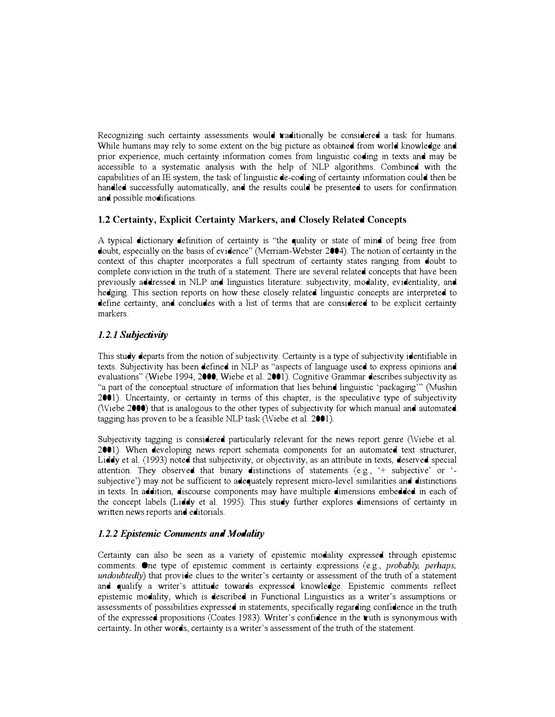Recognizing such certainty assessments would **traditionally** be considered a task for humans. While humans may rely to some extent on the big picture as obtained from world knowledge and prior experience, much certainty information comes from linguistic coding in texts and may be accessible to a systematic analysis with the help of NLP algorithms. Combined with the capabilities of an IE system, the task of linguistic de-coding of certainty information could then be handled successfully automatically, and the results could be presented to users for confirmation and possible modifications.

#### **1.2 Certainty, Explicit Certainty Markers, and Closely Related Concepts**

A typical dictionary definition of certainty is "the quality or state of mind of being free from doubt, especially on the basis of evidence" (Merriam-Webster 2004). The notion of certainty in the context of this chapter incorporates a full spectrum of certainty states ranging from doubt to complete conviction in the truth of a statement. There are several related concepts that have been previously addressed in NLP and linguistics literature: subjectivity, modality, evidentiality, and hedging. This section reports on how these closely related linguistic concepts are interpreted to define certainty, and concludes with a list of terms that are considered to be explicit certainty markers.

# *1.2.1 Subjectivity*

This study departs from the notion of subjectivity. Certainty is a type of subjectivity identifiable in texts. Subjectivity has been defined in NLP as "aspects of language used to express opinions and evaluations" (Wiebe 1994, 2000, Wiebe et al. 2001). Cognitive Grammar describes subjectivity as "a part of the conceptual structure of information that lies behind linguistic 'packaging"' (Mushin 2001). Uncertainty, or certainty in terms of this chapter, is the speculative type of subjectivity (Wiebe 2000) that is analogous to the other types of subjectivity for which manual and automated tagging has proven to be a feasible NLP task (Wiebe et al. 2001).

Subjectivity tagging is considered particularly relevant for the news report geme (Wiebe et al. 2001). When developing news report schemata components for an automated text structurer, Liddy et al. (1993) noted that subjectivity, or objectivity, as an attribute in texts, deserved special attention. They observed that binary distinctions of statements (e.g., '+ subjective' or ' subjective') may not be sufficient to adequately represent micro-level similarities and distinctions in texts. In addition, discourse components may have multiple dimensions embedded in each of the concept labels (Liddy et al. 1995). This study further explores dimensions of certainty in written news reports and editorials.

# *1.2.2 Epistemic Comments and Modality*

Certainty can also be seen as a variety of epistemic modality expressed through epistemic comments. One type of epistemic comment is certainty expressions (e.g., *probably, perhaps, undoubtedly*) that provide clues to the writer's certainty or assessment of the truth of a statement and qualify a writer's attitude towards expressed knowledge. Epistemic comments reflect epistemic modality, which is described in Functional Linguistics as a writer's assumptions or assessments of possibilities expressed in statements, specifically regarding confidence in the truth of the expressed propositions (Coates 1983). Writer's confidence in the truth is synonymous with certainty. In other words, certainty is a writer's assessment of the truth of the statement.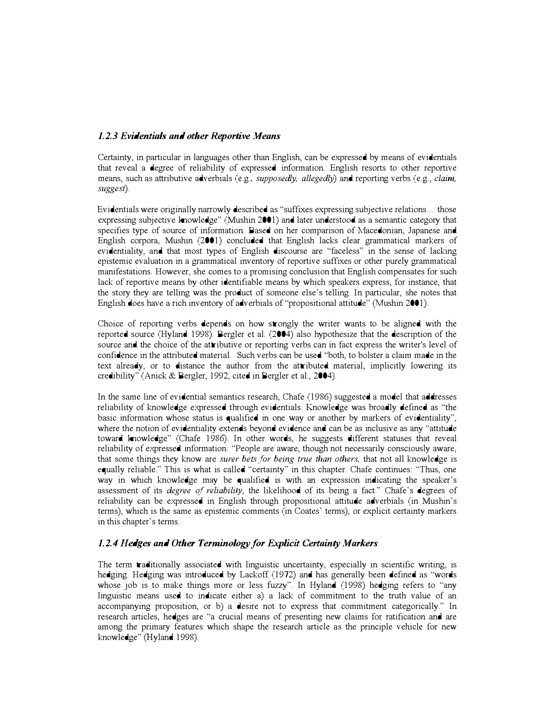# *1.2.3 Evidentials and other Reportive Means*

Certainty, in particular in languages other than English, can be expressed by means of evidentials that reveal a degree of reliability of expressed information. English resorts to other reportive means, such as attributive adverbials (e.g., *supposedly, allegedly)* and reporting verbs (e.g., *claim, suggest).* 

Evidentials were originally narrowly described as "suffixes expressing subjective relations ... those expressing subjective knowledge" (Mushin 2001) and later understood as a semantic category that specifies type of source of information. Based on her comparison of Macedonian, Japanese and English corpora, Mushin (2001) concluded that English lacks clear grammatical markers of evidentiality, and that most types of English discourse are "faceless" in the sense of lacking epistemic evaluation in a grammatical inventory of reportive suffixes or other purely grammatical manifestations. However, she comes to a promising conclusion that English compensates for such lack of reportive means by other identifiable means by which speakers express, for instance, that the story they are telling was the product of someone else's telling. In particular, she notes that English does have a rich inventory of adverbials of "propositional attitude" (Mushin 2001).

Choice of reporting verbs depends on how strongly the writer wants to be aligned with the reported source (Hyland 1998). Bergler et al. (2004) also hypothesize that the description of the source and the choice of the attributive or reporting verbs can in fact express the writer's level of confidence in the attributed material. Such verbs can be used "both, to bolster a claim made in the text already, or to distance the author from the attributed material, implicitly lowering its credibility" (Anick & Bergler, 1992, cited in Bergler et al., 2004).

In the same line of evidential semantics research, Chafe (1986) suggested a model that addresses reliability of knowledge expressed through evidentials. Knowledge was broadly defined as "the basic information whose status is qualified in one way or another by markers of evidentiality", where the notion of evidentiality extends beyond evidence and can be as inclusive as any "attitude" toward knowledge" (Chafe 1986). In other words, he suggests different statuses that reveal reliability of expressed information: "People are aware, though not necessarily consciously aware, that some things they know are *surer bets for being true than others,* that not all knowledge is equally reliable." This is what is called "certainty" in this chapter. Chafe continues: "Thus, one way in which knowledge may be qualified is with an expression indicating the speaker's assessment of its *degree of reliability,* the likelihood of its being a fact." Chafe's degrees of reliability can be expressed in English through propositional attitude adverbials (in Mushin's terms), which is the same as epistemic comments (in Coates' terms), or explicit certainty markers in this chapter's terms.

# *1.2.4 Hedges and Other Terminologyfor Explicit Certainty Markers*

The term traditionally associated with linguistic uncertainty, especially in scientific writing, 1s hedging. Hedging was introduced by Lackoff (1972) and has generally been defined as "words whose job is to make things more or less fuzzy". In Hyland (1998) hedging refers to "any linguistic means used to indicate either a) a lack of commitment to the truth value of an accompanying proposition, or b) a desire not to express that commitment categorically." In research articles, hedges are "a crucial means of presenting new claims for ratification and are among the primary features which shape the research article as the principle vehicle for new knowledge" (Hyland 1998).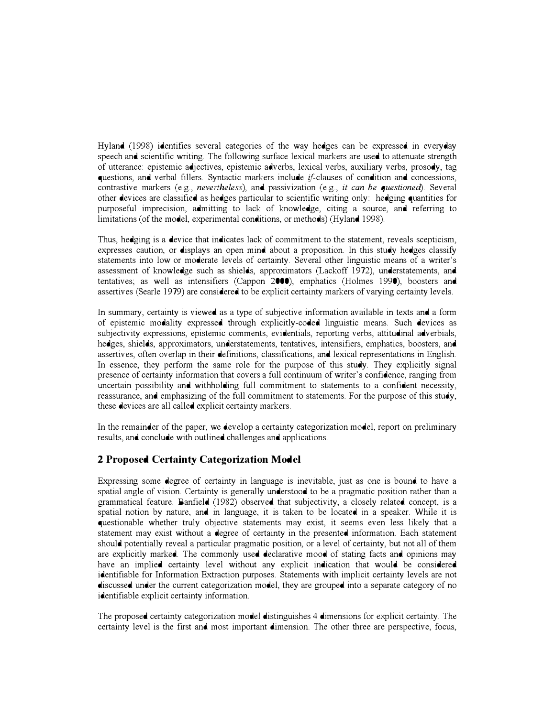Hyland (1998) identifies several categories of the way hedges can be expressed in everyday speech and scientific writing. The following surface lexical markers are used to attenuate strength of utterance: epistemic adjectives, epistemic adverbs, lexical verbs, auxiliary verbs, prosody, tag questions, and verbal fillers. Syntactic markers include *if*-clauses of condition and concessions, contrastive markers (e.g., *nevertheless),* and passivization (e.g., *it can be questioned).* Several other devices are classified as hedges particular to scientific writing only: hedging quantities for purposeful imprecision, admitting to lack of knowledge, citing a source, and referring to limitations (of the model, experimental conditions, or methods) (Hyland 1998).

Thus, hedging is a device that indicates lack of commitment to the statement, reveals scepticism, expresses caution, or displays an open mind about a proposition. In this study hedges classify statements into low or moderate levels of certainty. Several other linguistic means of a writer's assessment of knowledge such as shields, approximators (Lackoff 1972), understatements, and tentatives; as well as intensifiers (Cappon 2000), emphatics (Holmes 1990), boosters and assertives (Searle 1979) are considered to be explicit certainty markers of varying certainty levels.

In summary, certainty is viewed as a type of subjective information available in texts and a form of epistemic modality expressed through explicitly-coded linguistic means. Such devices as subjectivity expressions, epistemic comments, evidentials, reporting verbs, attitudinal adverbials, hedges, shields, approximators, understatements, tentatives, intensifiers, emphatics, boosters, and assertives, often overlap in their definitions, classifications, and lexical representations in English. In essence, they perform the same role for the purpose of this study. They explicitly signal presence of certainty information that covers a full continuum of writer's confidence, ranging from uncertain possibility and withholding full commitment to statements to a confident necessity, reassurance, and emphasizing of the full commitment to statements. For the purpose of this study, these devices are all called explicit certainty markers.

In the remainder of the paper, we develop a certainty categorization model, report on preliminary results, and conclude with outlined challenges and applications.

# **2 Proposed Certainty Categorization Model**

Expressing some degree of certainty in language is inevitable, just as one is bound to have a spatial angle of vision. Certainty is generally understood to be a pragmatic position rather than a grammatical feature. Banfield (1982) observed that subjectivity, a closely related concept, is a spatial notion by nature, and in language, it is taken to be located in a speaker. While it is questionable whether truly objective statements may exist, it seems even less likely that a statement may exist without a degree of certainty in the presented information. Each statement should potentially reveal a particular pragmatic position, or a level of certainty, but not all of them are explicitly marked. The commonly used declarative mood of stating facts and opinions may have an implied certainty level without any explicit indication that would be considered identifiable for Information Extraction purposes. Statements with implicit certainty levels are not discussed under the current categorization model, they are grouped into a separate category of no identifiable explicit certainty information.

The proposed certainty categorization model distinguishes 4 dimensions for explicit certainty. The certainty level is the first and most important dimension. The other three are perspective, focus,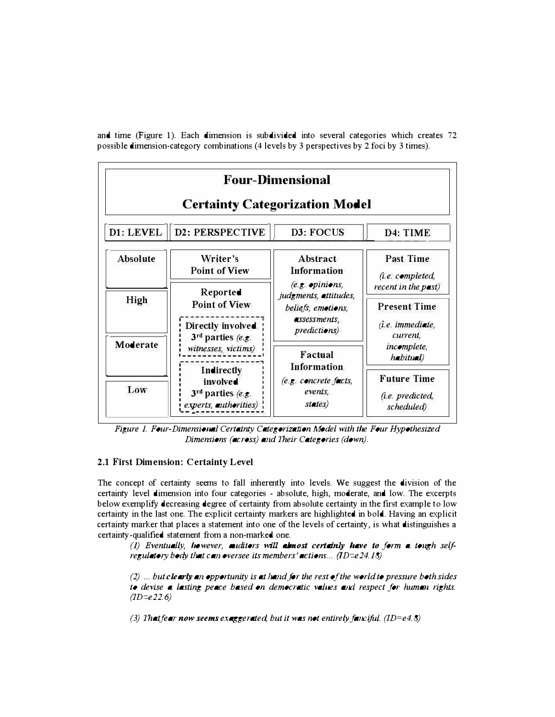and time (Figure 1). Each dimension is subdivided into several categories which creates 72 possible dimension-category combinations (4 levels by 3 perspectives by 2 foci by 3 times).

| <b>Four-Dimensional</b><br><b>Certainty Categorization Model</b> |                                                                        |                                                                                  |                                                                                                        |  |  |  |  |  |
|------------------------------------------------------------------|------------------------------------------------------------------------|----------------------------------------------------------------------------------|--------------------------------------------------------------------------------------------------------|--|--|--|--|--|
| D1: LEVEL                                                        | <b>D2: PERSPECTIVE</b>                                                 | D3: FOCUS                                                                        | D4: TIME                                                                                               |  |  |  |  |  |
| Absolute                                                         | Writer's<br><b>Point of View</b>                                       | Abstract<br>Information                                                          | <b>Past Time</b><br>(i.e. completed,                                                                   |  |  |  |  |  |
| High                                                             | Reported<br><b>Point of View</b><br>Directly involved                  | $(e.g.$ opinions,<br>judgments, attitudes,<br>beliefs, emotions,<br>assessments, | recent in the past)<br><b>Present Time</b><br>(i.e. immediate,<br>current.<br>incomplete,<br>habitual) |  |  |  |  |  |
| Moderate                                                         | $3rd$ parties (e.g.<br>witnesses, victims)                             | predictions)<br>Factual                                                          |                                                                                                        |  |  |  |  |  |
| Low                                                              | Indirectly<br>involved<br>$3rd$ parties (e.g.<br>experts, authorities) | Information<br>(e.g. concrete facts,<br>events,<br>states)                       | <b>Future Time</b><br>(i.e. predicted,<br>scheduled)                                                   |  |  |  |  |  |

*Figure 1. Four-Dimensional Certainty Categorization A1odel with the Four Hypothesized Dimensions (across) and Their Categories (down).* 

#### **2.1 First Dimension: Certainty Level**

The concept of certainty seems to fall inherently into levels. We suggest the division of the certainty level dimension into four categories - absolute, high, moderate, and low. The excerpts below exemplify decreasing degree of certainty from absolute certainty in the first example to low certainty in the last one. The explicit certainty markers are highlighted in bold. Having an explicit certainty marker that places a statement into one of the levels of certainty, is what distinguishes a certainty-qualified statement from a non-marked one.

(1) Eventually, however, auditors will almost certainly have to form a tough self*regulatory body that can oversee its members' actions... (ID=e24.18)* 

*(2) ... but clearly an opportunity is at handfor the rest of the world to pressure both sides to devise a lasting peace based on democratic values and respect for human rights. (ID<sup>=</sup>e22.6)* 

(3) That fear now seems exaggerated, but it was not entirely fanciful.  $(ID= e4.8)$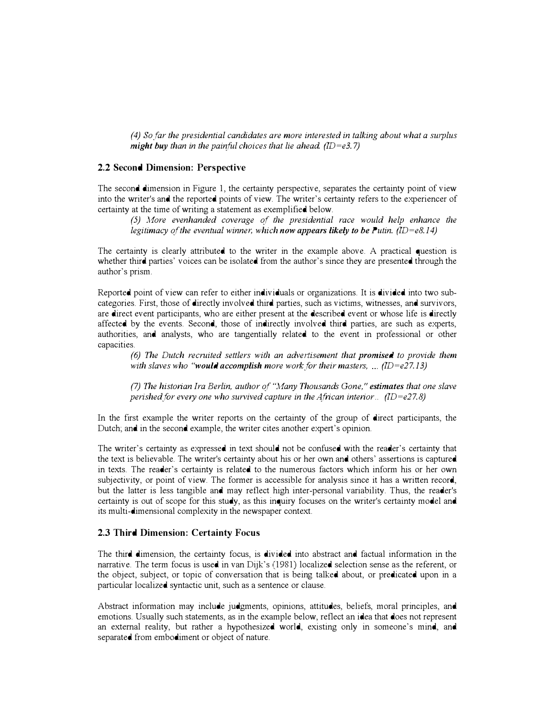*(4)* So *far the presidential candidates are more interested in talking about what a surplus might buy than in the painful choices that lie ahead.*  $(ID = e3.7)$ 

#### **2.2 Second Dimension: Perspective**

The second dimension in Figure 1, the certainty perspective, separates the certainty point of view into the writer's and the reported points of view. The writer's certainty refers to the experiencer of certainty at the time of writing a statement as exemplified below.

*(5) More evenhanded coverage of the presidential race would help enhance the legitimacy of the eventual winner, which now appears likely to be Putin.*  $(D = e8.14)$ 

The certainty is clearly attributed to the writer in the example above. A practical question is whether third parties' voices can be isolated from the author's since they are presented through the author's prism.

Reported point of view can refer to either individuals or organizations. It is divided into two subcategories. First, those of directly involved third parties, such as victims, witnesses, and survivors, are direct event participants, who are either present at the described event or whose life is directly affected by the events. Second, those of indirectly involved third parties, are such as experts, authorities, and analysts, who are tangentially related to the event in professional or other capacities.

*(6) The Dutch recruited settlers with an advertisement that promised to provide them*  with slaves who "would accomplish more work for their masters,  $(D = e27.13)$ 

*(7) The historian Ira Berlin, author of "Many Thousands Gone," estimates that one slave perished for every one who survived capture in the African interior .. (ID=e27.8)* 

In the first example the writer reports on the certainty of the group of direct participants, the Dutch; and in the second example, the writer cites another expert's opinion.

The writer's certainty as expressed in text should not be confused with the reader's certainty that the text is believable. The writer's certainty about his or her own and others' assertions is captured in texts. The reader's certainty is related to the numerous factors which inform his or her own subjectivity, or point of view. The former is accessible for analysis since it has a written record, but the latter is less tangible and may reflect high inter-personal variability. Thus, the reader's certainty is out of scope for this study, as this inquiry focuses on the writer's certainty model and its multi-dimensional complexity in the newspaper context.

#### **2.3 Third Dimension: Certainty Focus**

The third dimension, the certainty focus, is divided into abstract and factual information in the narrative. The term focus is used in van Dijk's (1981) localized selection sense as the referent, or the object, subject, or topic of conversation that is being talked about, or predicated upon in a particular localized syntactic unit, such as a sentence or clause.

Abstract information may include judgments, opinions, attitudes, beliefs, moral principles, and emotions. Usually such statements, as in the example below, reflect an idea that does not represent an external reality, but rather a hypothesized world, existing only in someone's mind, and separated from embodiment or object of nature.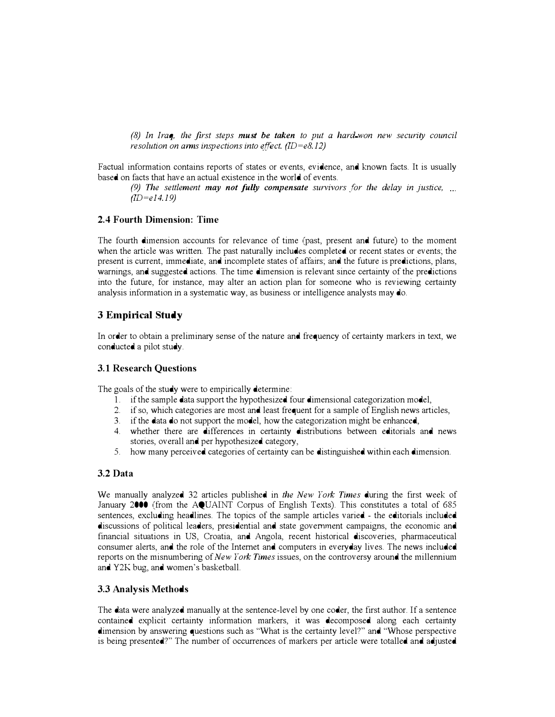*(8) In Iraq, the first steps must be taken to put a hard-won new security council resolution on arms inspections into effect. (ID=e8.12)* 

Factual information contains reports of states or events, evidence, and known facts. It is usually based on facts that have an actual existence in the world of events.

*(9) The settlement may not fully compensate survivors for the delay in justice,*   $(D=e14.19)$ 

#### **2.4 Fourth Dimension: Time**

The fourth dimension accounts for relevance of time (past, present and future) to the moment when the article was written. The past naturally includes completed or recent states or events; the present is current, immediate, and incomplete states of affairs; and the future is predictions, plans, warnings, and suggested actions. The time dimension is relevant since certainty of the predictions into the future, for instance, may alter an action plan for someone who is reviewing certainty analysis information in a systematic way, as business or intelligence analysts may do.

# **3 Empirical Study**

In order to obtain a preliminary sense of the nature and frequency of certainty markers in text, we conducted a pilot study.

#### **3.1 Research Questions**

The goals of the study were to empirically determine:

- 1. if the sample data support the hypothesized four dimensional categorization model,
- 2. if so, which categories are most and least frequent for a sample of English news articles,
- 3. if the data do not support the model, how the categorization might be enhanced,
- 4. whether there are differences in certainty distributions between editorials and news stories, overall and per hypothesized category,
- 5. how many perceived categories of certainty can be distinguished within each dimension.

#### **3.2 Data**

We manually analyzed 32 articles published in *the New York Times* during the first week of January 2000 (from the AQUAINT Corpus of English Texts). This constitutes a total of 685 sentences, excluding headlines. The topics of the sample articles varied - the editorials included discussions of political leaders, presidential and state government campaigns, the economic and financial situations in US, Croatia, and Angola, recent historical discoveries, pharmaceutical consumer alerts, and the role of the Internet and computers in everyday lives. The news included reports on the misnumbering of *New York Times* issues, on the controversy around the millennium and Y2K bug, and women's basketball.

#### **3.3 Analysis Methods**

The data were analyzed manually at the sentence-level by one coder, the first author. If a sentence contained explicit certainty information markers, it was decomposed along each certainty dimension by answering questions such as "What is the certainty level?" and "Whose perspective is being presented?" The number of occurrences of markers per article were totalled and adjusted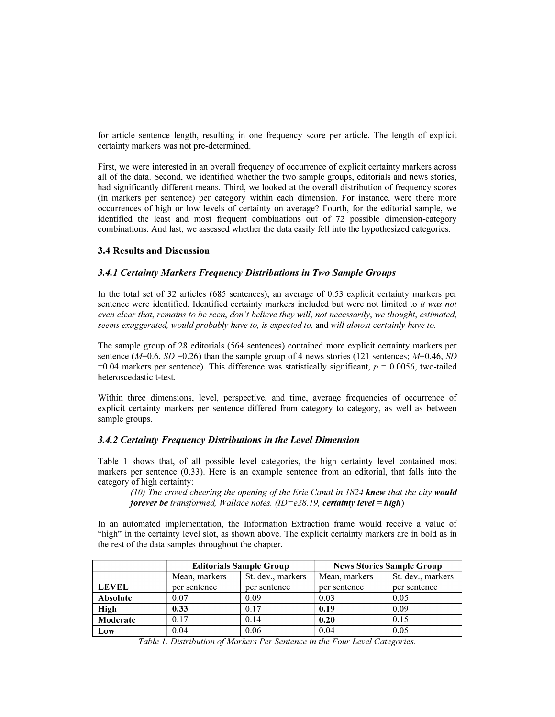for article sentence length, resulting in one frequency score per article. The length of explicit certainty markers was not pre-determined.

First, we were interested in an overall frequency of occurrence of explicit certainty markers across all of the data. Second, we identified whether the two sample groups, editorials and news stories, had significantly different means. Third, we looked at the overall distribution of frequency scores (in markers per sentence) per category within each dimension. For instance, were there more occurrences of high or low levels of certainty on average? Fourth, for the editorial sample, we identified the least and most frequent combinations out of 72 possible dimension-category combinations. And last, we assessed whether the data easily fell into the hypothesized categories.

#### **3.4 Results and Discussion**

#### *3.4.1 Certainty Markers Frequency Distributions in Two Sample Groups*

In the total set of 32 articles (685 sentences), an average of 0.53 explicit certainty markers per sentence were identified. Identified certainty markers included but were not limited to *it was not even clear that, remains to be seen, don't believe they will, not necessarily, we thought, estimated, seems exaggerated, would probably have to, is expected to,* and *will almost certainly have to.* 

The sample group of 28 editorials (564 sentences) contained more explicit certainty markers per sentence  $(M=0.6, SD=0.26)$  than the sample group of 4 news stories (121 sentences;  $M=0.46, SD$  $= 0.04$  markers per sentence). This difference was statistically significant,  $p = 0.0056$ , two-tailed heteroscedastic t-test.

Within three dimensions, level, perspective, and time, average frequencies of occurrence of explicit certainty markers per sentence differed from category to category, as well as between sample groups.

#### *3.4.2 Certainty Frequency Distributions in the Level Dimension*

Table 1 shows that, of all possible level categories, the high certainty level contained most markers per sentence (0.33). Here is an example sentence from an editorial, that falls into the category of high certainty:

*(10) The crowd cheering the opening of the Erie Canal in 1824 knew that the city would forever be transformed, Wal/ace notes. (ID=e2 8.19, certainty level* **=** *high)* 

In an automated implementation, the Information Extraction frame would receive a value of "high" in the certainty level slot, as shown above. The explicit certainty markers are in bold as in the rest of the data samples throughout the chapter.

|                 |               | <b>Editorials Sample Group</b> | <b>News Stories Sample Group</b> |                   |  |  |
|-----------------|---------------|--------------------------------|----------------------------------|-------------------|--|--|
|                 | Mean, markers | St. dev., markers              | Mean, markers                    | St. dev., markers |  |  |
| <b>LEVEL</b>    | per sentence  | per sentence                   | per sentence                     | per sentence      |  |  |
| <b>Absolute</b> | 0.07          | 0.09                           | 0.03                             | 0.05              |  |  |
| <b>High</b>     | 0.33          | 0.17                           | 0.19                             | 0.09              |  |  |
| Moderate        | 0.17          | 0.14                           | 0.20                             | 0.15              |  |  |
| Low             | 0.04          | 0.06                           | 0.04                             | 0.05              |  |  |

*Table I. Distribution of Markers Per Sentence in the Four Level Categories.*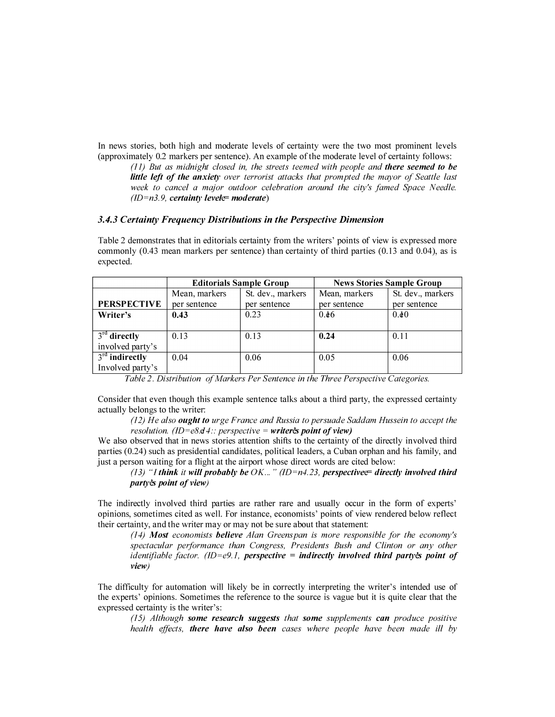*In news stories, both high and moderate levels of certainty were the two most prominent levels (approximately 0.2 markers per sentence). An example of the moderate level of certainty follows:* 

*(11) But as midnight closed in, the streets teemed with people and there seemed to be little left of the anxiety over terrorist attacks that prompted the mayor of Seattle last week to cancel a major outdoor celebration around the city's famed Space Needle. (ID <sup>=</sup>n3. 9, certainty levele<sup>=</sup> moderate)* 

#### *3.4.3 Certainty Frequency Distributions in the Perspective Dimension*

*Table 2 demonstrates that in editorials certainty from the writers' points of view is expressed more commonly (0.43 mean markers per sentence) than certainty of third parties (0. 13 and 0.04), as is expected.* 

|                    |               | <b>Editorials Sample Group</b> | <b>News Stories Sample Group</b> |                   |  |  |
|--------------------|---------------|--------------------------------|----------------------------------|-------------------|--|--|
|                    | Mean, markers | St. dev., markers              | Mean, markers                    | St. dev., markers |  |  |
| <b>PERSPECTIVE</b> | per sentence  | per sentence                   | per sentence                     | per sentence      |  |  |
| Writer's           | 0.43          | 0.23                           | 0.46                             | 0.40              |  |  |
|                    |               |                                |                                  |                   |  |  |
| $3rd$ directly     | 0.13          | 0.13                           | 0.24                             | 0.11              |  |  |
| involved party's   |               |                                |                                  |                   |  |  |
| $3rd$ indirectly   | 0.04          | 0.06                           | 0.05                             | 0.06              |  |  |
| Involved party's   |               |                                |                                  |                   |  |  |

*Table 2. Distribution of Markers Per Sentence in the Three Perspective Categories.* 

*Consider that even though this example sentence talks about a third party, the expressed certainty actually belongs to the writer:* 

*(12) He also ought to urge France and Russia to persuade Saddam Hussein to accept the resolution.* (ID=e8.d4:: perspective = writeres point of view)

*We also observed that in news stories attention shifts to the certainty of the directly involved third parties (0.24) such as presidential candidates, political leaders, a Cuban orphan and his family, and just a person waiting for a flight at the airport whose direct words are cited below:* 

 $(13)$  "1 *think it will probably be*  $OK$ *...* "  $(ID = n4.23)$ , perspectives *directly involved third partye's point of view)* 

*The indirectly involved third parties are rather rare and usually occur in the form of experts' opinions, sometimes cited as well. For instance, economists' points of view rendered below reflect their certainty, and the writer may or may not be sure about that statement:* 

*(14) Most economists believe Alan Greenspan is more responsible for the economy's spectacular performance than Congress, Presidents Bush and Clinton or any other identifiable factor. (ID <sup>=</sup>e9.1, perspective = indirectly involved third partye's point of view)* 

*The difficulty for automation will likely be in correctly interpreting the writer's intended use of the experts' opinions. Sometimes the reference to the source is vague but it is quite clear that the expressed certainty is the writer's:* 

*(15) Although some research suggests that some supplements can produce positive health effects, there have also been cases where people have been made ill by*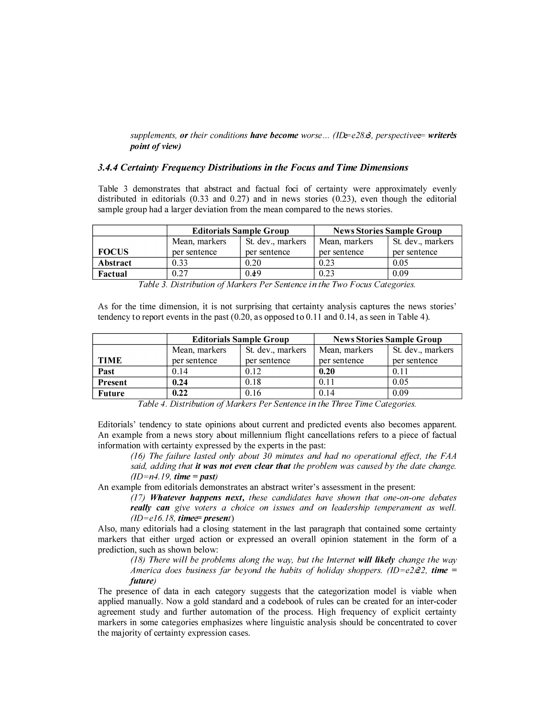*supplements, or their conditions have become worse ... (IDe=e28.e3, perspectivee<sup>=</sup> writere's point of view)* 

#### *3.4.4 Certainty Frequency Distributions in the Focus and Time Dimensions*

Table 3 demonstrates that abstract and factual foci of certainty were approximately evenly *distributed in editorials (0.33 and 0.27) and in news stories (0.23), even though the editorial sample group had a larger deviation from the mean compared to the news stories.* 

|              |               | <b>Editorials Sample Group</b> | <b>News Stories Sample Group</b> |                   |  |  |
|--------------|---------------|--------------------------------|----------------------------------|-------------------|--|--|
|              | Mean, markers | St. dev., markers              | Mean, markers                    | St. dev., markers |  |  |
| <b>FOCUS</b> | per sentence  | per sentence                   | per sentence                     | per sentence      |  |  |
| Abstract     | 0.33          | 0.20                           | 0.23                             | 0.05              |  |  |
| Factual      | 0.27          | 0.49                           | 0.23                             | 0.09              |  |  |

|  |  |  |  | Table 3. Distribution of Markers Per Sentence in the Two Focus Categories. |
|--|--|--|--|----------------------------------------------------------------------------|
|  |  |  |  |                                                                            |

*As for the time dimension, it is not surprising that certainty analysis captures the news stories' tendency to report events in the past (0.20, as opposed to 0. 11 and 0. 14, as seen in Table 4).* 

|               |               | <b>Editorials Sample Group</b> | <b>News Stories Sample Group</b> |                   |  |  |
|---------------|---------------|--------------------------------|----------------------------------|-------------------|--|--|
|               | Mean, markers | St. dev., markers              | Mean, markers                    | St. dev., markers |  |  |
| <b>TIME</b>   | per sentence  | per sentence                   | per sentence                     | per sentence      |  |  |
| Past          | 0.14          | 0.12                           | 0.20                             | 0.11              |  |  |
| Present       | 0.24          | 0.18                           | 0.11                             | 0.05              |  |  |
| <b>Future</b> | 0.22          | 0.16                           | 0.14                             | 0.09              |  |  |

*Table 4. Distribution of Markers Per Sentence in the Three Time Categories.* 

*Editorials' tendency to state opinions about current and predicted events also becomes apparent. An example from a news story about millennium flight cancellations refers to a piece of factual information with certainty expressed by the experts in the past:* 

*(16) The failure lasted only about 30 minutes and had no operational effect, the FAA said, adding that it was not even clear that the problem was caused by the date change. (ID=n4. I 9, time = past)* 

*An example from editorials demonstrates an abstract writer's assessment in the present:* 

*(1 7) Whatever happens next, these candidates have shown that one-on-one debates really can give voters a choice on issues and on leadership temperament as well. (ID <sup>=</sup>el 6.18, timee<sup>=</sup> present)* 

*Also, many editorials had a closing statement in the last paragraph that contained some certainty markers that either urged action or expressed an overall opinion statement in the form of a prediction, such as shown below:* 

*(18) There will be problems along the way, but the Internet will likely change the way America does business far beyond the habits of holiday shoppers. (ID <sup>=</sup>e2.e22, time = future)* 

*The presence of data in each category suggests that the categorization model is viable when applied manually. Now a gold standard and a codebook of rules can be created for an inter-coder agreement study and further automation of the process. High frequency of explicit certainty markers in some categories emphasizes where linguistic analysis should be concentrated to cover the majority of certainty expression cases.*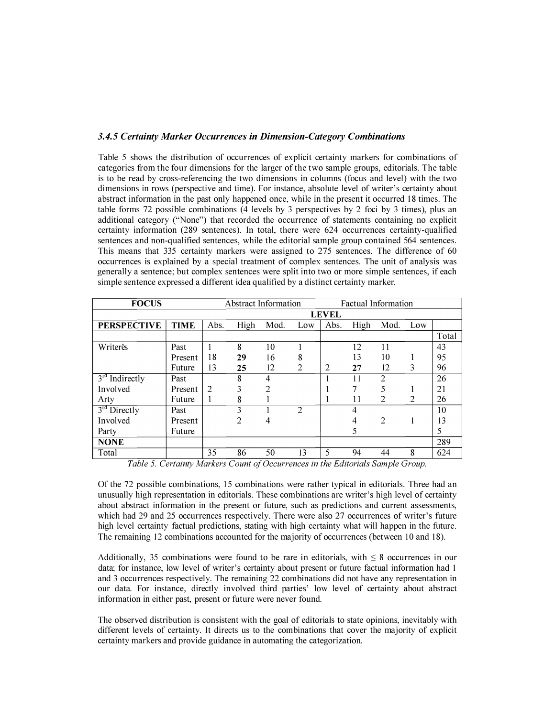### *3.4.5 Certainty Marker Occurrences in Dimension-Category Combinations*

*Table 5 shows the distribution of occurrences of explicit certainty markers for combinations of categories from the four dimensions for the larger of the two sample groups, editorials. The table is to be read by cross-referencing the two dimensions in columns (focus and level) with the two dimensions in rows (perspective and time). For instance, absolute level of writer's certainty about abstract information in the past only happened once, while in the present it occurred 18 times. The table forms 72 possible combinations (4 levels by 3 perspectives by 2 foci by 3 times), plus an additional category ("None") that recorded the occurrence of statements containing no explicit certainty information (289 sentences). In total, there were 624 occurrences certainty-qualified sentences and non-qualified sentences, while the editorial sample group contained 564 sentences. This means that 335 certainty markers were assigned to 275 sentences. The difference of 60 occurrences is explained by a special treatment of complex sentences. The unit of analysis was generally a sentence; but complex sentences were split into two or more simple sentences, if each simple sentence expressed a different idea qualified by a distinct certainty marker.* 

| <b>FOCUS</b>                  |             |                            | <b>Abstract Information</b>    |                     |                |                                  | <b>Factual Information</b> |                |                |       |
|-------------------------------|-------------|----------------------------|--------------------------------|---------------------|----------------|----------------------------------|----------------------------|----------------|----------------|-------|
|                               |             |                            |                                |                     |                | <b>LEVEL</b>                     |                            |                |                |       |
| <b>PERSPECTIVE</b>            | <b>TIME</b> | Abs.                       | High                           | Mod.                | Low            | Abs.                             | High                       | Mod.           | Low            |       |
|                               |             |                            |                                |                     |                |                                  |                            |                |                | Total |
| Writeres                      | Past        |                            | 8                              | 10                  |                |                                  | 12                         | 11             |                | 43    |
|                               | Present     | 18                         | 29                             | 16                  | 8              |                                  | 13                         | 10             |                | 95    |
|                               | Future      | 13                         | 25                             | 12                  | 2              | 2                                | 27                         | 12             | 3              | 96    |
| 3 <sup>rd</sup><br>Indirectly | Past        |                            | 8                              | 4                   |                |                                  | 11                         | 2              |                | 26    |
| Involved                      | Present     | 2                          | 3                              | 2                   |                |                                  | 7                          | 5              |                | 21    |
| Arty                          | Future      |                            | 8                              |                     |                |                                  | 11                         | $\overline{2}$ | $\overline{2}$ | 26    |
| $3rd$ Directly                | Past        |                            | 3                              |                     | $\overline{2}$ |                                  | $\overline{4}$             |                |                | 10    |
| Involved                      | Present     |                            | 2                              | 4                   |                |                                  | 4                          | 2              |                | 13    |
| Party                         | Future      |                            |                                |                     |                |                                  |                            |                |                | 5     |
| <b>NONE</b>                   |             |                            |                                |                     |                |                                  |                            |                |                | 289   |
| Total<br>$-11 - -2$           |             | 35<br>$\sim$ $\sim$ $\sim$ | 86<br>$\overline{\phantom{a}}$ | 50<br>$\sim$ $\sim$ | 13             | $\overline{\mathcal{L}}$<br>$-1$ | 94<br>$\sim$ $\sim$        | 44<br>$\sim$   | 8              | 624   |

*Table 5. Certainty Markers Count of Occurrences in the Editorials Sample Group.* 

*Of the 72 possible combinations, 15 combinations were rather typical in editorials. Three had an unusually high representation in editorials. These combinations are writer's high level of certainty about abstract information in the present or future, such as predictions and current assessments,*  which had 29 and 25 occurrences respectively. There were also 27 occurrences of writer's future *high level certainty factual predictions, stating with high certainty what will happen in the future.*  The remaining 12 combinations accounted for the majority of occurrences (between 10 and 18).

Additionally, 35 combinations were found to be rare in editorials, with  $\leq 8$  occurrences in our *data; for instance, low level of writer's certainty about present or future factual information had 1 and 3 occurrences respectively. The remaining 22 combinations did not have any representation in our data. For instance, directly involved third parties' low level of certainty about abstract information in either past, present or future were never found.* 

*The observed distribution is consistent with the goal of editorials to state opinions, inevitably with different levels of certainty. It directs us to the combinations that cover the majority of explicit certainty markers and provide guidance in automating the categorization.*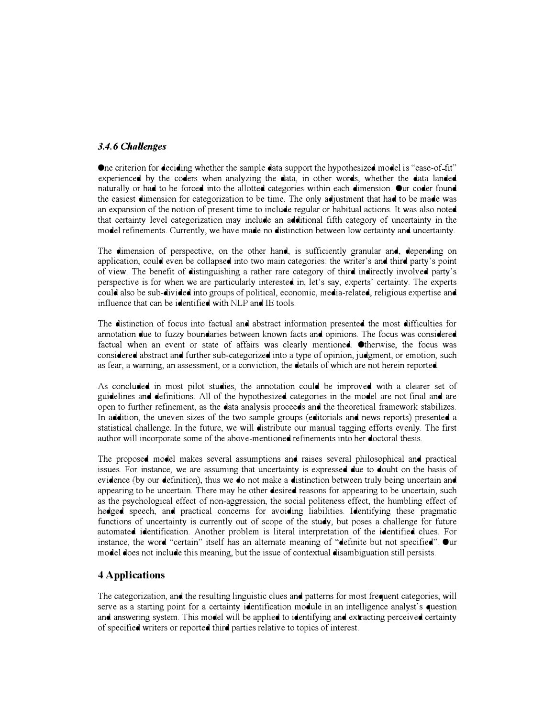# *3.4. 6 Challenges*

One criterion for deciding whether the sample data support the hypothesized model is "ease-of-fit" experienced by the coders when analyzing the data, in other words, whether the data landed naturally or had to be forced into the allotted categories within each dimension. Our coder found the easiest dimension for categorization to be time. The only adjustment that had to be made was an expansion of the notion of present time to include regular or habitual actions. It was also noted that certainty level categorization may include an additional fifth category of uncertainty in the model refinements. Currently, we have made no distinction between low certainty and uncertainty.

The dimension of perspective, on the other hand, is sufficiently granular and, depending on application, could even be collapsed into two main categories: the writer's and third party's point of view. The benefit of distinguishing a rather rare category of third indirectly involved party's perspective is for when we are particularly interested in, let's say, experts' certainty. The experts could also be sub-divided into groups of political, economic, media-related, religious expertise and influence that can be identified with NLP and IE tools.

The distinction of focus into factual and abstract information presented the most difficulties for annotation due to fuzzy boundaries between known facts and opinions. The focus was considered factual when an event or state of affairs was clearly mentioned. Othenvise, the focus was considered abstract and further sub-categorized into a type of opinion, judgment, or emotion, such as fear, a warning, an assessment, or a conviction, the details of which are not herein reported.

As concluded in most pilot studies, the annotation could be improved with a clearer set of guidelines and definitions. All of the hypothesized categories in the model are not final and are open to further refinement, as the data analysis proceeds and the theoretical framework stabilizes. In addition, the uneven sizes of the two sample groups (editorials and news reports) presented a statistical challenge. In the future, we will distribute our manual tagging efforts evenly. The first author will incorporate some of the above-mentioned refinements into her doctoral thesis.

The proposed model makes several assumptions and raises several philosophical and practical issues. For instance, we are assuming that uncertainty is expressed due to doubt on the basis of evidence (by our definition), thus we do not make a distinction between truly being uncertain and appearing to be uncertain. There may be other desired reasons for appearing to be uncertain, such as the psychological effect of non-aggression, the social politeness effect, the humbling effect of hedged speech, and practical concerns for avoiding liabilities. Identifying these pragmatic functions of uncertainty is currently out of scope of the study, but poses a challenge for future automated identification. Another problem is literal interpretation of the identified clues. For instance, the word "certain" itself has an alternate meaning of "definite but not specified". Our model does not include this meaning, but the issue of contextual disambiguation still persists.

# **4 Applications**

The categorization, and the resulting linguistic clues and patterns for most frequent categories, will serve as a starting point for a certainty identification module in an intelligence analyst's question and answering system. This model will be applied to identifying and extracting perceived certainty of specified writers or reported third parties relative to topics of interest.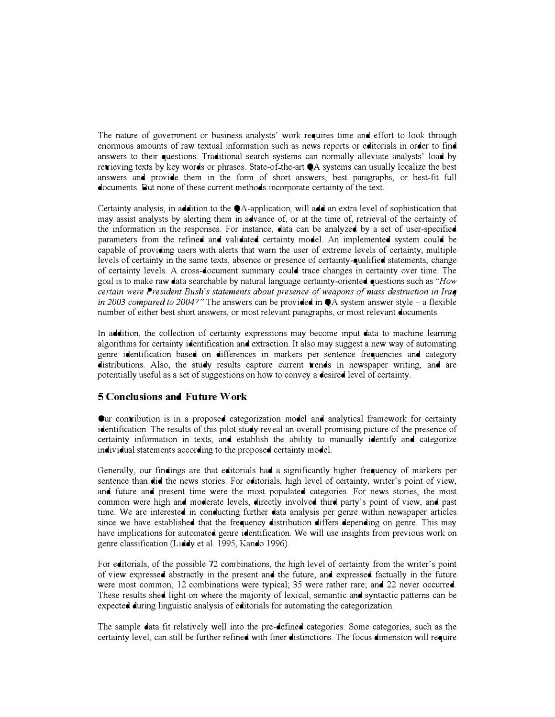The nature of government or business analysts' work requires time and effort to look through enormous amounts of raw textual information such as news reports or editorials in order to find answers to their questions. Traditional search systems can normally alleviate analysts' load by retrieving texts by key words or phrases. State-of -the-art QA systems can usually localize the best answers and provide them in the form of short answers, best paragraphs, or best-fit full documents. But none of these current methods incorporate certainty of the text.

Certainty analysis, in addition to the QA-application, will add an extra level of sophistication that may assist analysts by alerting them in advance of, or at the time of, retrieval of the certainty of the information in the responses. For instance, data can be analyzed by a set of user-specified parameters from the refined and validated certainty model. An implemented system could be capable of providing users with alerts that warn the user of extreme levels of certainty, multiple levels of certainty in the same texts, absence or presence of certainty-qualified statements, change of certainty levels. A cross-document summary could trace changes in certainty over time. The goal is to make raw data searchable by natural language certainty-oriented questions such as *"How certain were President Bush's statements about presence of weapons of mass destruction in Iraq in 2003 compared to 2004?"* The answers can be provided in QA system answer style - a flexible number of either best short answers, or most relevant paragraphs, or most relevant documents.

In addition, the collection of certainty expressions may become input data to machine learning algorithms for certainty identification and extraction. It also may suggest a new way of automating geme identification based on differences in markers per sentence frequencies and category distributions. Also, the study results capture current trends in newspaper writing, and are potentially useful as a set of suggestions on how to convey a desired level of certainty.

#### **5 Conclusions and Future Work**

Our contribution is in a proposed categorization model and analytical framework for certainty identification. The results of this pilot study reveal an overall promising picture of the presence of certainty information in texts, and establish the ability to manually identify and categorize individual statements according to the proposed certainty model.

Generally, our findings are that editorials had a significantly higher frequency of markers per sentence than did the news stories. For editorials, high level of certainty, writer's point of view, and future and present time were the most populated categories. For news stories, the most common were high and moderate levels, directly involved third party's point of view, and past time. We are interested in conducting further data analysis per geme within newspaper articles since we have established that the frequency distribution differs depending on geme. This may have implications for automated geme identification. We will use insights from previous work on geme classification (Liddy et al. 1995, Kanda 1996).

For editorials, of the possible 72 combinations, the high level of certainty from the writer's point of view expressed abstractly in the present and the future, and expressed factually in the future were most common; 12 combinations were typical; 35 were rather rare; and 22 never occurred. These results shed light on where the majority of lexical, semantic and syntactic patterns can be expected during linguistic analysis of editorials for automating the categorization.

The sample data fit relatively well into the pre-defined categories. Some categories, such as the certainty level, can still be further refined with finer distinctions. The focus dimension will require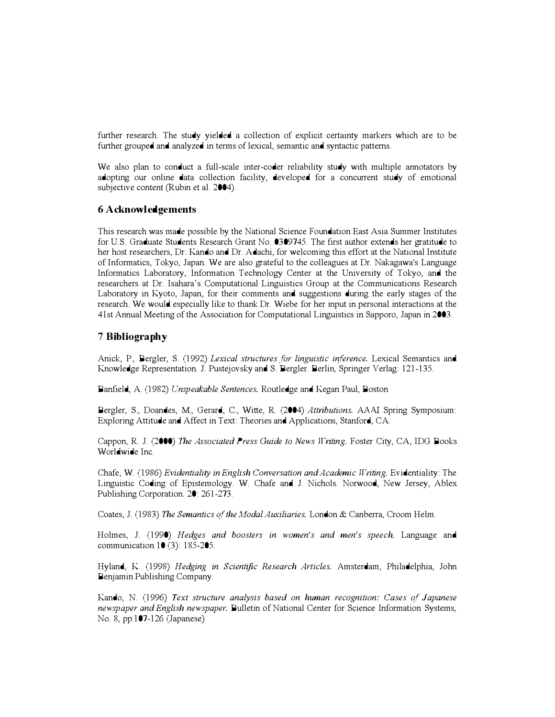further research. The study yielded a collection of explicit certainty markers which are to be further grouped and analyzed in terms of lexical, semantic and syntactic patterns.

We also plan to conduct a full-scale inter-coder reliability study with multiple annotators by adopting our online data collection facility, developed for a concurrent study of emotional subjective content (Rubin et al. 2004).

#### **6 Acknowledgements**

This research was made possible by the National Science Foundation East Asia Summer Institutes for US. Graduate Students Research Grant No. 0309745. The first author extends her gratitude to her host researchers, Dr. Kando and Dr. Adachi, for welcoming this effort at the National Institute of lnformatics, Tokyo, Japan. We are also grateful to the colleagues at Dr. Nakagawa's Language Informatics Laboratory, Information Technology Center at the University of Tokyo, and the researchers at Dr. Isahara's Computational Linguistics Group at the Communications Research Laboratory in Kyoto, Japan, for their comments and suggestions during the early stages of the research. We would especially like to thank Dr. Wiebe for her input in personal interactions at the 4lst Annual Meeting of the Association for Computational Linguistics in Sapporo, Japan in 2003.

#### **7 Bibliography**

Anick, P., Bergler, S. (1992) *Lexical structures for linguistic inference.* Lexical Semantics and Knowledge Representation. J. Pustejovsky and S. Bergler. Berlin, Springer Verlag: 121-135.

Banfield, A (1982) *Unspeakable Sentences.* Routledge and Kegan Paul, Boston

Bergler, S., Doandes, M, Gerard, C, Witte, R (2004) *Attributions.* AAA! Spring Symposium: Exploring Attitude and Affect in Text: Theories and Applications, Stanford, CA

Cappon, R. J. (2000) *The Associated Press Guide to News Writing*. Foster City, CA, IDG Books Worldwide Inc.

Chafe, W. (1986) *Evidentiality in English Conversation and Academic Writing.* Evidentiality: The Linguistic Coding of Epistemology. W. Chafe and J. Nichols. Norwood, New Jersey, Ablex Publishing Corporation. 20: 261-273.

Coates, J (1983) *The Semantics of the Modal Auxiliaries.* London & Canberra, Croom Helm.

Holmes, J (1990) *Hedges and boosters in women's and men's speech* Language and communication 10 (3): 185-205.

Hyland, K. (1998) *Hedging in Scientific Research Articles.* Amsterdam, Philadelphia, John Benjamin Publishing Company.

Kanda, N. (1996) *Text structure analysis based on human recognition: Cases of Japanese newspaper and English newspaper.* Bulletin of National Center for Science Information Systems, No. 8, pp.107-126 (Japanese)